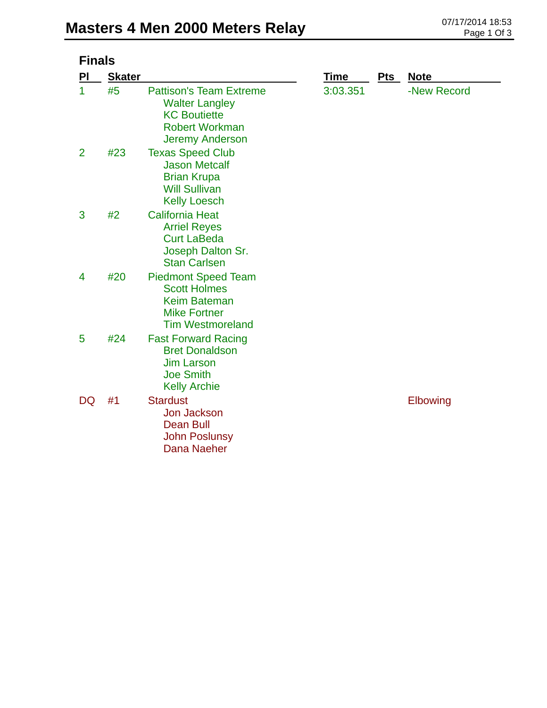| <b>Finals</b>  |               |                                                                                                                                   |          |            |             |
|----------------|---------------|-----------------------------------------------------------------------------------------------------------------------------------|----------|------------|-------------|
| PI             | <b>Skater</b> |                                                                                                                                   | Time     | <u>Pts</u> | <b>Note</b> |
| $\mathbf{1}$   | #5            | <b>Pattison's Team Extreme</b><br><b>Walter Langley</b><br><b>KC Boutiette</b><br><b>Robert Workman</b><br><b>Jeremy Anderson</b> | 3:03.351 |            | -New Record |
| $\overline{2}$ | #23           | <b>Texas Speed Club</b><br><b>Jason Metcalf</b><br><b>Brian Krupa</b><br><b>Will Sullivan</b><br><b>Kelly Loesch</b>              |          |            |             |
| 3              | #2            | <b>California Heat</b><br><b>Arriel Reyes</b><br><b>Curt LaBeda</b><br>Joseph Dalton Sr.<br><b>Stan Carlsen</b>                   |          |            |             |
| 4              | #20           | <b>Piedmont Speed Team</b><br><b>Scott Holmes</b><br>Keim Bateman<br><b>Mike Fortner</b><br><b>Tim Westmoreland</b>               |          |            |             |
| 5              | #24           | <b>Fast Forward Racing</b><br><b>Bret Donaldson</b><br><b>Jim Larson</b><br><b>Joe Smith</b><br><b>Kelly Archie</b>               |          |            |             |
| <b>DQ</b>      | #1            | <b>Stardust</b><br><b>Jon Jackson</b><br><b>Dean Bull</b><br><b>John Poslunsy</b><br>Dana Naeher                                  |          |            | Elbowing    |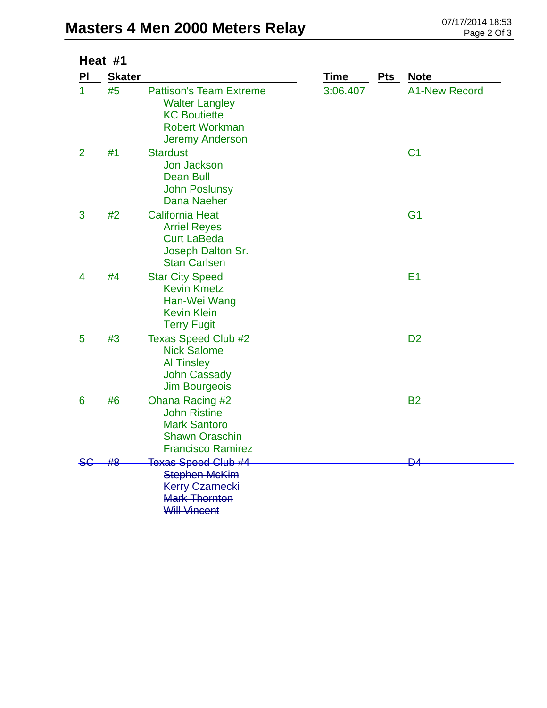|                | Heat #1       |                                                                                                                                   |             |            |                      |
|----------------|---------------|-----------------------------------------------------------------------------------------------------------------------------------|-------------|------------|----------------------|
| PI             | <b>Skater</b> |                                                                                                                                   | <b>Time</b> | <b>Pts</b> | <b>Note</b>          |
| $\mathbf 1$    | #5            | <b>Pattison's Team Extreme</b><br><b>Walter Langley</b><br><b>KC Boutiette</b><br><b>Robert Workman</b><br><b>Jeremy Anderson</b> | 3:06.407    |            | <b>A1-New Record</b> |
| $\overline{2}$ | #1            | <b>Stardust</b><br><b>Jon Jackson</b><br><b>Dean Bull</b><br><b>John Poslunsy</b><br>Dana Naeher                                  |             |            | C <sub>1</sub>       |
| 3              | #2            | <b>California Heat</b><br><b>Arriel Reyes</b><br><b>Curt LaBeda</b><br>Joseph Dalton Sr.<br><b>Stan Carlsen</b>                   |             |            | G <sub>1</sub>       |
| 4              | #4            | <b>Star City Speed</b><br><b>Kevin Kmetz</b><br>Han-Wei Wang<br><b>Kevin Klein</b><br><b>Terry Fugit</b>                          |             |            | E <sub>1</sub>       |
| 5              | #3            | <b>Texas Speed Club #2</b><br><b>Nick Salome</b><br><b>Al Tinsley</b><br><b>John Cassady</b><br><b>Jim Bourgeois</b>              |             |            | D <sub>2</sub>       |
| 6              | #6            | Ohana Racing #2<br><b>John Ristine</b><br><b>Mark Santoro</b><br><b>Shawn Oraschin</b><br><b>Francisco Ramirez</b>                |             |            | <b>B2</b>            |
| St             |               | <b>Texas Speed Club #4</b>                                                                                                        |             |            | ₽                    |
|                |               | <b>Stephen McKim</b><br><b>Kerry Czarnecki</b><br><b>Mark Thornton</b><br><b>Will Vincent</b>                                     |             |            |                      |